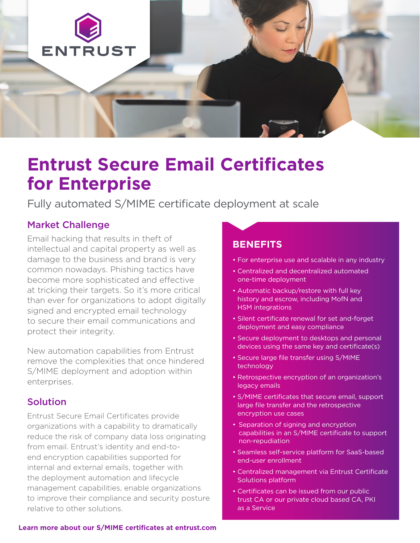

# **Entrust Secure Email Certificates for Enterprise**

Fully automated S/MIME certificate deployment at scale

# Market Challenge

Email hacking that results in theft of intellectual and capital property as well as damage to the business and brand is very common nowadays. Phishing tactics have become more sophisticated and effective at tricking their targets. So it's more critical than ever for organizations to adopt digitally signed and encrypted email technology to secure their email communications and protect their integrity.

New automation capabilities from Entrust remove the complexities that once hindered S/MIME deployment and adoption within enterprises.

# Solution

Entrust Secure Email Certificates provide organizations with a capability to dramatically reduce the risk of company data loss originating from email. Entrust's identity and end-toend encryption capabilities supported for internal and external emails, together with the deployment automation and lifecycle management capabilities, enable organizations to improve their compliance and security posture relative to other solutions.

## **BENEFITS**

- For enterprise use and scalable in any industry
- Centralized and decentralized automated one-time deployment
- Automatic backup/restore with full key history and escrow, including MofN and HSM integrations
- Silent certificate renewal for set and-forget deployment and easy compliance
- Secure deployment to desktops and personal devices using the same key and certificate(s)
- Secure large file transfer using S/MIME technology
- Retrospective encryption of an organization's legacy emails
- S/MIME certificates that secure email, support large file transfer and the retrospective encryption use cases
- Separation of signing and encryption capabilities in an S/MIME certificate to support non-repudiation
- Seamless self-service platform for SaaS-based end-user enrollment
- Centralized management via Entrust Certificate Solutions platform
- Certificates can be issued from our public trust CA or our private cloud based CA, PKI as a Service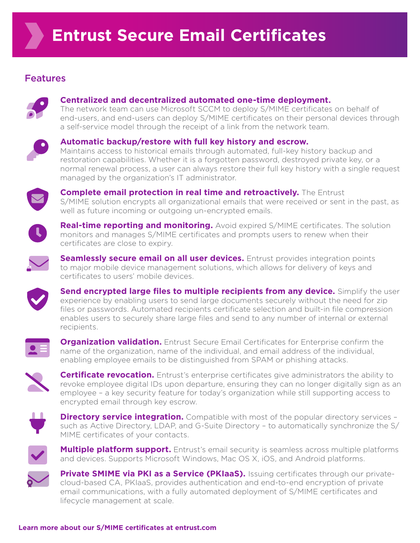# Features



## **Centralized and decentralized automated one-time deployment.**

The network team can use Microsoft SCCM to deploy S/MIME certificates on behalf of end-users, and end-users can deploy S/MIME certificates on their personal devices through a self-service model through the receipt of a link from the network team.



### **Automatic backup/restore with full key history and escrow.**

Maintains access to historical emails through automated, full-key history backup and restoration capabilities. Whether it is a forgotten password, destroyed private key, or a normal renewal process, a user can always restore their full key history with a single request managed by the organization's IT administrator.



**Complete email protection in real time and retroactively.** The Entrust S/MIME solution encrypts all organizational emails that were received or sent in the past, as well as future incoming or outgoing un-encrypted emails.



**Real-time reporting and monitoring.** Avoid expired S/MIME certificates. The solution monitors and manages S/MIME certificates and prompts users to renew when their certificates are close to expiry.



**Seamlessly secure email on all user devices.** Entrust provides integration points to major mobile device management solutions, which allows for delivery of keys and certificates to users' mobile devices.



**Send encrypted large files to multiple recipients from any device.** Simplify the user experience by enabling users to send large documents securely without the need for zip files or passwords. Automated recipients certificate selection and built-in file compression enables users to securely share large files and send to any number of internal or external recipients.



**Organization validation.** Entrust Secure Email Certificates for Enterprise confirm the name of the organization, name of the individual, and email address of the individual, enabling employee emails to be distinguished from SPAM or phishing attacks.



**Certificate revocation.** Entrust's enterprise certificates give administrators the ability to revoke employee digital IDs upon departure, ensuring they can no longer digitally sign as an employee – a key security feature for today's organization while still supporting access to encrypted email through key escrow.



**Directory service integration.** Compatible with most of the popular directory services such as Active Directory, LDAP, and G-Suite Directory – to automatically synchronize the S/ MIME certificates of your contacts.



**Multiple platform support.** Entrust's email security is seamless across multiple platforms and devices. Supports Microsoft Windows, Mac OS X, iOS, and Android platforms.



**Private SMIME via PKI as a Service (PKIaaS).** Issuing certificates through our privatecloud-based CA, PKIaaS, provides authentication and end-to-end encryption of private email communications, with a fully automated deployment of S/MIME certificates and lifecycle management at scale.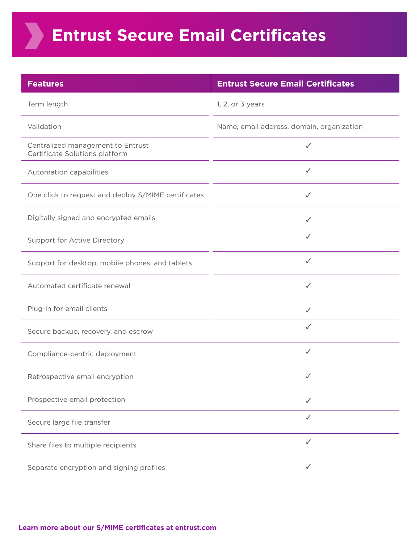# **Entrust Secure Email Certificates**

**XX** 

| <b>Features</b>                                                     | <b>Entrust Secure Email Certificates</b>  |
|---------------------------------------------------------------------|-------------------------------------------|
| Term length                                                         | 1, 2, or 3 years                          |
| Validation                                                          | Name, email address, domain, organization |
| Centralized management to Entrust<br>Certificate Solutions platform | ✓                                         |
| Automation capabilities                                             | ✓                                         |
| One click to request and deploy S/MIME certificates                 | ✓                                         |
| Digitally signed and encrypted emails                               | ✓                                         |
| <b>Support for Active Directory</b>                                 | ✓                                         |
| Support for desktop, mobile phones, and tablets                     | ✓                                         |
| Automated certificate renewal                                       | ✓                                         |
| Plug-in for email clients                                           | ✓                                         |
| Secure backup, recovery, and escrow                                 | ✓                                         |
| Compliance-centric deployment                                       | ✓                                         |
| Retrospective email encryption                                      | ✓                                         |
| Prospective email protection                                        | ✓                                         |
| Secure large file transfer                                          | ✓                                         |
| Share files to multiple recipients                                  | ✓                                         |
| Separate encryption and signing profiles                            | ✓                                         |